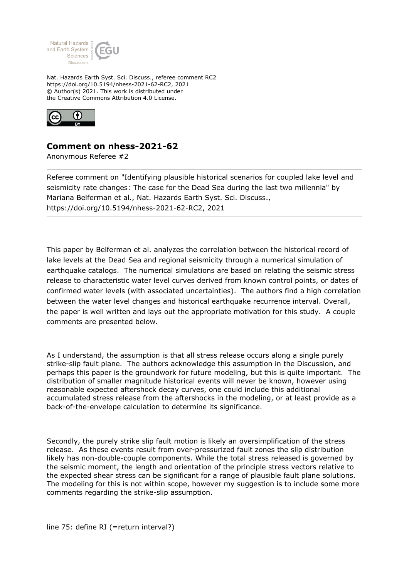

Nat. Hazards Earth Syst. Sci. Discuss., referee comment RC2 https://doi.org/10.5194/nhess-2021-62-RC2, 2021 © Author(s) 2021. This work is distributed under the Creative Commons Attribution 4.0 License.



## **Comment on nhess-2021-62**

Anonymous Referee #2

Referee comment on "Identifying plausible historical scenarios for coupled lake level and seismicity rate changes: The case for the Dead Sea during the last two millennia" by Mariana Belferman et al., Nat. Hazards Earth Syst. Sci. Discuss., https://doi.org/10.5194/nhess-2021-62-RC2, 2021

This paper by Belferman et al. analyzes the correlation between the historical record of lake levels at the Dead Sea and regional seismicity through a numerical simulation of earthquake catalogs. The numerical simulations are based on relating the seismic stress release to characteristic water level curves derived from known control points, or dates of confirmed water levels (with associated uncertainties). The authors find a high correlation between the water level changes and historical earthquake recurrence interval. Overall, the paper is well written and lays out the appropriate motivation for this study. A couple comments are presented below.

As I understand, the assumption is that all stress release occurs along a single purely strike-slip fault plane. The authors acknowledge this assumption in the Discussion, and perhaps this paper is the groundwork for future modeling, but this is quite important. The distribution of smaller magnitude historical events will never be known, however using reasonable expected aftershock decay curves, one could include this additional accumulated stress release from the aftershocks in the modeling, or at least provide as a back-of-the-envelope calculation to determine its significance.

Secondly, the purely strike slip fault motion is likely an oversimplification of the stress release. As these events result from over-pressurized fault zones the slip distribution likely has non-double-couple components. While the total stress released is governed by the seismic moment, the length and orientation of the principle stress vectors relative to the expected shear stress can be significant for a range of plausible fault plane solutions. The modeling for this is not within scope, however my suggestion is to include some more comments regarding the strike-slip assumption.